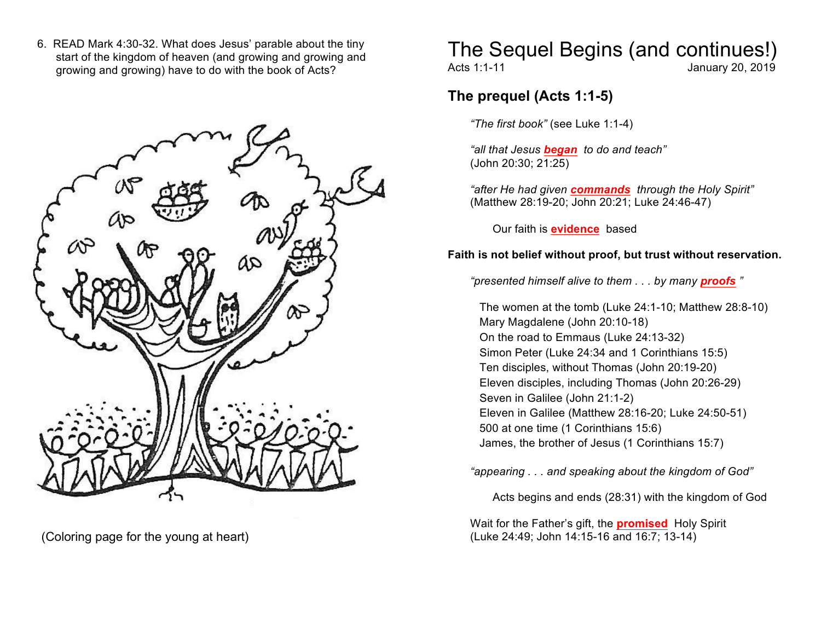6. READ Mark 4:30-32. What does Jesus' parable about the tiny start of the kingdom of heaven (and growing and growing and growing and growing) have to do with the book of Acts?



# The Sequel Begins (and continues!)

Acts 1:1-11 January 20, 2019

### **The prequel (Acts 1:1-5)**

*"The first book"* (see Luke 1:1-4)

*"all that Jesus began to do and teach"* (John 20:30; 21:25)

*"after He had given commands through the Holy Spirit"*  (Matthew 28:19-20; John 20:21; Luke 24:46-47)

Our faith is **evidence** based

#### **Faith is not belief without proof, but trust without reservation.**

*"presented himself alive to them . . . by many proofs "*

The women at the tomb (Luke 24:1-10; Matthew 28:8-10) Mary Magdalene (John 20:10-18) On the road to Emmaus (Luke 24:13-32) Simon Peter (Luke 24:34 and 1 Corinthians 15:5) Ten disciples, without Thomas (John 20:19-20) Eleven disciples, including Thomas (John 20:26-29) Seven in Galilee (John 21:1-2) Eleven in Galilee (Matthew 28:16-20; Luke 24:50-51) 500 at one time (1 Corinthians 15:6) James, the brother of Jesus (1 Corinthians 15:7)

*"appearing . . . and speaking about the kingdom of God"*

Acts begins and ends (28:31) with the kingdom of God

Wait for the Father's gift, the **promised** Holy Spirit (Coloring page for the young at heart) (Luke 24:49; John 14:15-16 and 16:7; 13-14)